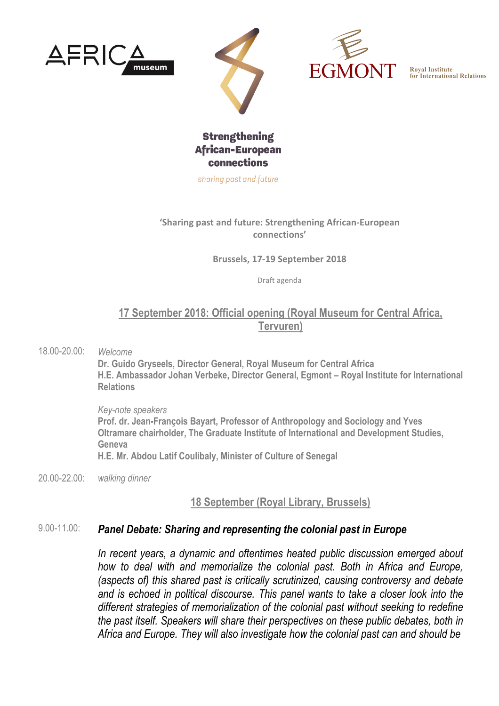







sharing past and future

#### **'Sharing past and future: Strengthening African-European connections'**

**Brussels, 17-19 September 2018**

Draft agenda

### **17 September 2018: Official opening (Royal Museum for Central Africa, Tervuren)**

18.00-20.00: *Welcome*

**Dr. Guido Gryseels, Director General, Royal Museum for Central Africa H.E. Ambassador Johan Verbeke, Director General, Egmont – Royal Institute for International Relations**

*Key-note speakers* **Prof. dr. Jean-François Bayart, Professor of Anthropology and Sociology and Yves Oltramare chairholder, The Graduate Institute of International and Development Studies, Geneva H.E. Mr. Abdou Latif Coulibaly, Minister of Culture of Senegal**

20.00-22.00: *walking dinner*

**18 September (Royal Library, Brussels)**

#### 9.00-11.00: *Panel Debate: Sharing and representing the colonial past in Europe*

*In recent years, a dynamic and oftentimes heated public discussion emerged about how to deal with and memorialize the colonial past. Both in Africa and Europe, (aspects of) this shared past is critically scrutinized, causing controversy and debate and is echoed in political discourse. This panel wants to take a closer look into the different strategies of memorialization of the colonial past without seeking to redefine the past itself. Speakers will share their perspectives on these public debates, both in Africa and Europe. They will also investigate how the colonial past can and should be*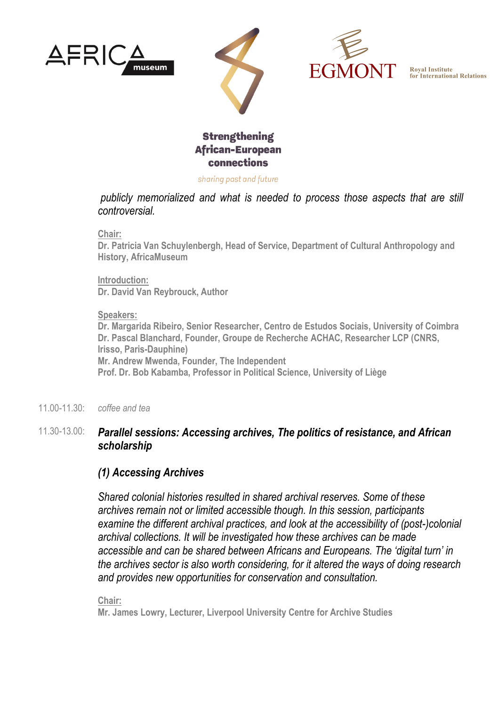





## **Strengthening African-European** connections

sharing past and future

*publicly memorialized and what is needed to process those aspects that are still controversial.*

**Chair:**

**Dr. Patricia Van Schuylenbergh, Head of Service, Department of Cultural Anthropology and History, AfricaMuseum**

**Introduction: Dr. David Van Reybrouck, Author**

#### **Speakers:**

**Dr. Margarida Ribeiro, Senior Researcher, Centro de Estudos Sociais, University of Coimbra Dr. Pascal Blanchard, Founder, Groupe de Recherche ACHAC, Researcher LCP (CNRS, Irisso, Paris-Dauphine) Mr. Andrew Mwenda, Founder, The Independent Prof. Dr. Bob Kabamba, Professor in Political Science, University of Liège**

11.00-11.30: *coffee and tea*

### 11.30-13.00: *Parallel sessions: Accessing archives, The politics of resistance, and African scholarship*

### *(1) Accessing Archives*

*Shared colonial histories resulted in shared archival reserves. Some of these archives remain not or limited accessible though. In this session, participants examine the different archival practices, and look at the accessibility of (post-)colonial archival collections. It will be investigated how these archives can be made accessible and can be shared between Africans and Europeans. The 'digital turn' in the archives sector is also worth considering, for it altered the ways of doing research and provides new opportunities for conservation and consultation.*

**Chair:** 

**Mr. James Lowry, Lecturer, Liverpool University Centre for Archive Studies**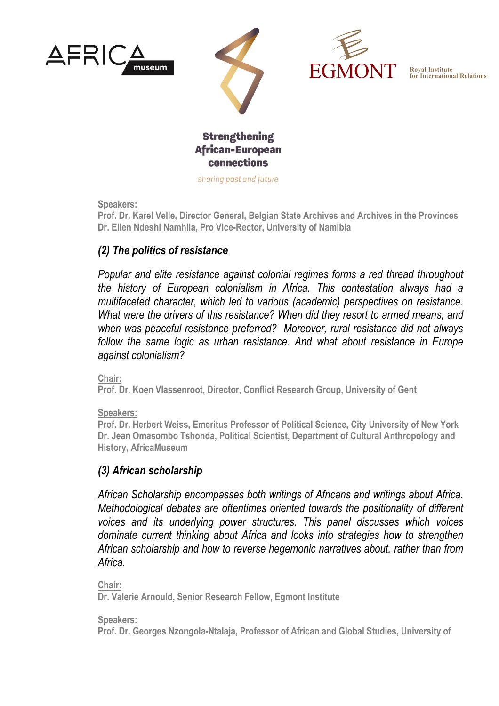







sharing past and future

**Speakers:**

**Prof. Dr. Karel Velle, Director General, Belgian State Archives and Archives in the Provinces Dr. Ellen Ndeshi Namhila, Pro Vice-Rector, University of Namibia**

### *(2) The politics of resistance*

*Popular and elite resistance against colonial regimes forms a red thread throughout the history of European colonialism in Africa. This contestation always had a multifaceted character, which led to various (academic) perspectives on resistance. What were the drivers of this resistance? When did they resort to armed means, and when was peaceful resistance preferred? Moreover, rural resistance did not always*  follow the same logic as urban resistance. And what about resistance in Europe *against colonialism?*

**Chair:** 

**Prof. Dr. Koen Vlassenroot, Director, Conflict Research Group, University of Gent**

**Speakers:** 

**Prof. Dr. Herbert Weiss, Emeritus Professor of Political Science, City University of New York Dr. Jean Omasombo Tshonda, Political Scientist, Department of Cultural Anthropology and History, AfricaMuseum**

### *(3) African scholarship*

*African Scholarship encompasses both writings of Africans and writings about Africa. Methodological debates are oftentimes oriented towards the positionality of different voices and its underlying power structures. This panel discusses which voices dominate current thinking about Africa and looks into strategies how to strengthen African scholarship and how to reverse hegemonic narratives about, rather than from Africa.*

**Chair:** 

**Dr. Valerie Arnould, Senior Research Fellow, Egmont Institute**

**Speakers:** 

**Prof. Dr. Georges Nzongola-Ntalaja, Professor of African and Global Studies, University of**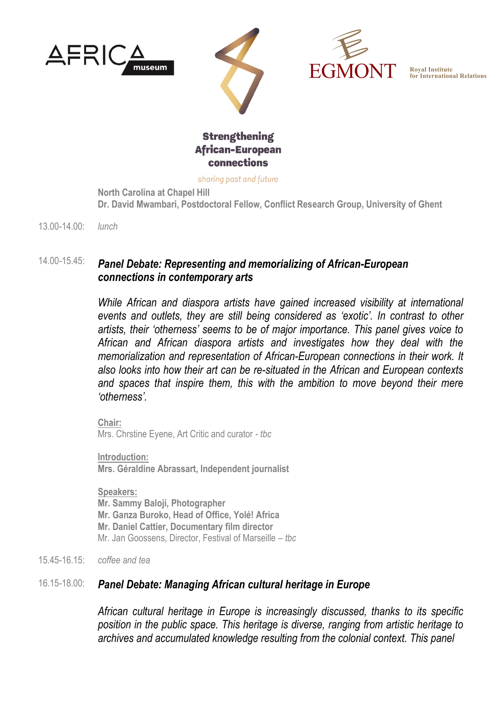





### **Strengthening African-European** connections

sharing past and future

**North Carolina at Chapel Hill Dr. David Mwambari, Postdoctoral Fellow, Conflict Research Group, University of Ghent**

13.00-14.00: *lunch*

## 14.00-15.45: *Panel Debate: Representing and memorializing of African-European connections in contemporary arts*

*While African and diaspora artists have gained increased visibility at international events and outlets, they are still being considered as 'exotic'. In contrast to other artists, their 'otherness' seems to be of major importance. This panel gives voice to African and African diaspora artists and investigates how they deal with the memorialization and representation of African-European connections in their work. It also looks into how their art can be re-situated in the African and European contexts and spaces that inspire them, this with the ambition to move beyond their mere 'otherness'.*

**Chair:**  Mrs. Chrstine Eyene, Art Critic and curator *- tbc*

**Introduction: Mrs. Géraldine Abrassart, Independent journalist**

**Speakers: Mr. Sammy Baloji, Photographer Mr. Ganza Buroko, Head of Office, Yolé! Africa Mr. Daniel Cattier, Documentary film director** Mr. Jan Goossens, Director, Festival of Marseille *– tbc*

15.45-16.15: *coffee and tea*

### 16.15-18.00: *Panel Debate: Managing African cultural heritage in Europe*

*African cultural heritage in Europe is increasingly discussed, thanks to its specific position in the public space. This heritage is diverse, ranging from artistic heritage to archives and accumulated knowledge resulting from the colonial context. This panel*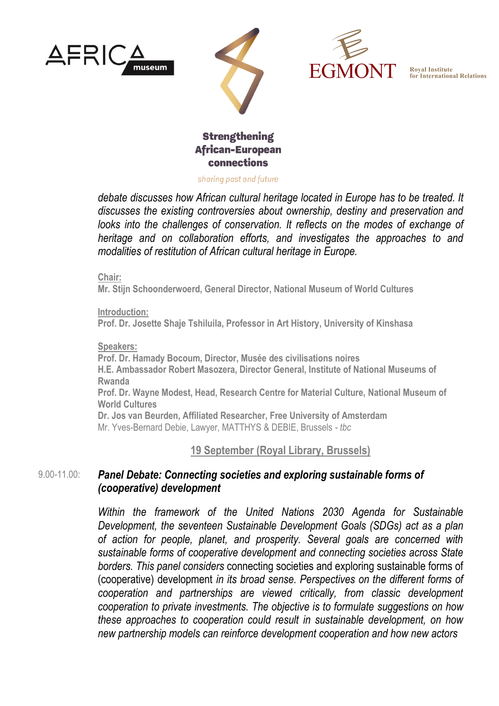





### **Strengthening African-European** connections

sharing past and future

*debate discusses how African cultural heritage located in Europe has to be treated. It discusses the existing controversies about ownership, destiny and preservation and looks into the challenges of conservation. It reflects on the modes of exchange of heritage and on collaboration efforts, and investigates the approaches to and modalities of restitution of African cultural heritage in Europe.*

**Chair:** 

**Mr. Stijn Schoonderwoerd, General Director, National Museum of World Cultures**

**Introduction: Prof. Dr. Josette Shaje Tshiluila, Professor in Art History, University of Kinshasa**

#### **Speakers:**

**Prof. Dr. Hamady Bocoum, Director, Musée des civilisations noires H.E. Ambassador Robert Masozera, Director General, Institute of National Museums of Rwanda Prof. Dr. Wayne Modest, Head, Research Centre for Material Culture, National Museum of World Cultures Dr. Jos van Beurden, Affiliated Researcher, Free University of Amsterdam** Mr. Yves-Bernard Debie, Lawyer, MATTHYS & DEBIE, Brussels *- tbc*

**19 September (Royal Library, Brussels)**

#### $9.00 - 11.00$ *Panel Debate: Connecting societies and exploring sustainable forms of (cooperative) development*

*Within the framework of the United Nations 2030 Agenda for Sustainable Development, the seventeen Sustainable Development Goals (SDGs) act as a plan of action for people, planet, and prosperity. Several goals are concerned with sustainable forms of cooperative development and connecting societies across State borders. This panel considers* connecting societies and exploring sustainable forms of (cooperative) development *in its broad sense. Perspectives on the different forms of cooperation and partnerships are viewed critically, from classic development cooperation to private investments. The objective is to formulate suggestions on how these approaches to cooperation could result in sustainable development, on how new partnership models can reinforce development cooperation and how new actors*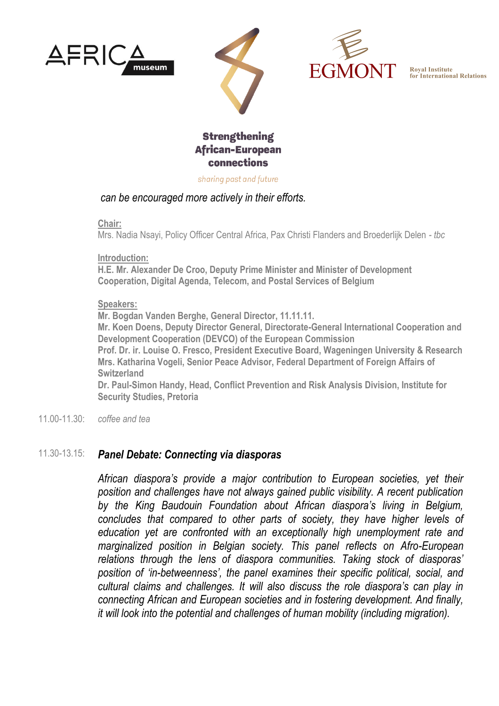





## **Strengthening African-European** connections

sharing past and future

### *can be encouraged more actively in their efforts.*

**Chair:**

Mrs. Nadia Nsayi, Policy Officer Central Africa, Pax Christi Flanders and Broederlijk Delen *- tbc*

**Introduction:**

**H.E. Mr. Alexander De Croo, Deputy Prime Minister and Minister of Development Cooperation, Digital Agenda, Telecom, and Postal Services of Belgium**

#### **Speakers:**

**Mr. Bogdan Vanden Berghe, General Director, 11.11.11.**

**Mr. Koen Doens, Deputy Director General, Directorate-General International Cooperation and Development Cooperation (DEVCO) of the European Commission**

**Prof. Dr. ir. Louise O. Fresco, President Executive Board, Wageningen University & Research Mrs. Katharina Vogeli, Senior Peace Advisor, Federal Department of Foreign Affairs of Switzerland**

**Dr. Paul-Simon Handy, Head, Conflict Prevention and Risk Analysis Division, Institute for Security Studies, Pretoria**

11.00-11.30: *coffee and tea*

### 11.30-13.15: *Panel Debate: Connecting via diasporas*

*African diaspora's provide a major contribution to European societies, yet their position and challenges have not always gained public visibility. A recent publication by the King Baudouin Foundation about African diaspora's living in Belgium, concludes that compared to other parts of society, they have higher levels of education yet are confronted with an exceptionally high unemployment rate and marginalized position in Belgian society. This panel reflects on Afro-European relations through the lens of diaspora communities. Taking stock of diasporas' position of 'in-betweenness', the panel examines their specific political, social, and cultural claims and challenges. It will also discuss the role diaspora's can play in connecting African and European societies and in fostering development. And finally, it will look into the potential and challenges of human mobility (including migration).*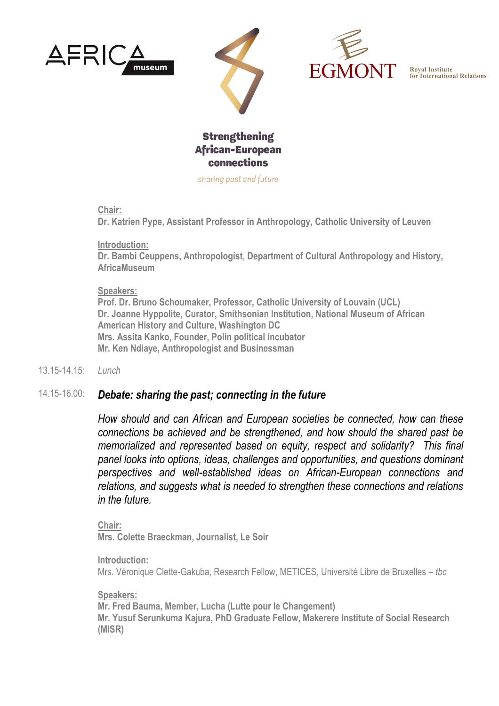







sharing past and future

**Chair:** 

**Dr. Katrien Pype, Assistant Professor in Anthropology, Catholic University of Leuven**

**Introduction:** 

**Dr. Bambi Ceuppens, Anthropologist, Department of Cultural Anthropology and History, AfricaMuseum**

#### **Speakers:**

**Prof. Dr. Bruno Schoumaker, Professor, Catholic University of Louvain (UCL) Dr. Joanne Hyppolite, Curator, Smithsonian Institution, National Museum of African American History and Culture, Washington DC Mrs. Assita Kanko, Founder, Polin political incubator Mr. Ken Ndiaye, Anthropologist and Businessman**

13.15-14.15: *Lunch*

### 14.15-16.00: *Debate: sharing the past; connecting in the future*

*How should and can African and European societies be connected, how can these connections be achieved and be strengthened, and how should the shared past be memorialized and represented based on equity, respect and solidarity? This final panel looks into options, ideas, challenges and opportunities, and questions dominant perspectives and well-established ideas on African-European connections and relations, and suggests what is needed to strengthen these connections and relations in the future.*

**Chair: Mrs. Colette Braeckman, Journalist, Le Soir**

**Introduction:**  Mrs. Véronique Clette-Gakuba, Research Fellow, METICES, Université Libre de Bruxelles *– tbc*

#### **Speakers:**

**Mr. Fred Bauma, Member, Lucha (Lutte pour le Changement) Mr. Yusuf Serunkuma Kajura, PhD Graduate Fellow, Makerere Institute of Social Research (MISR)**